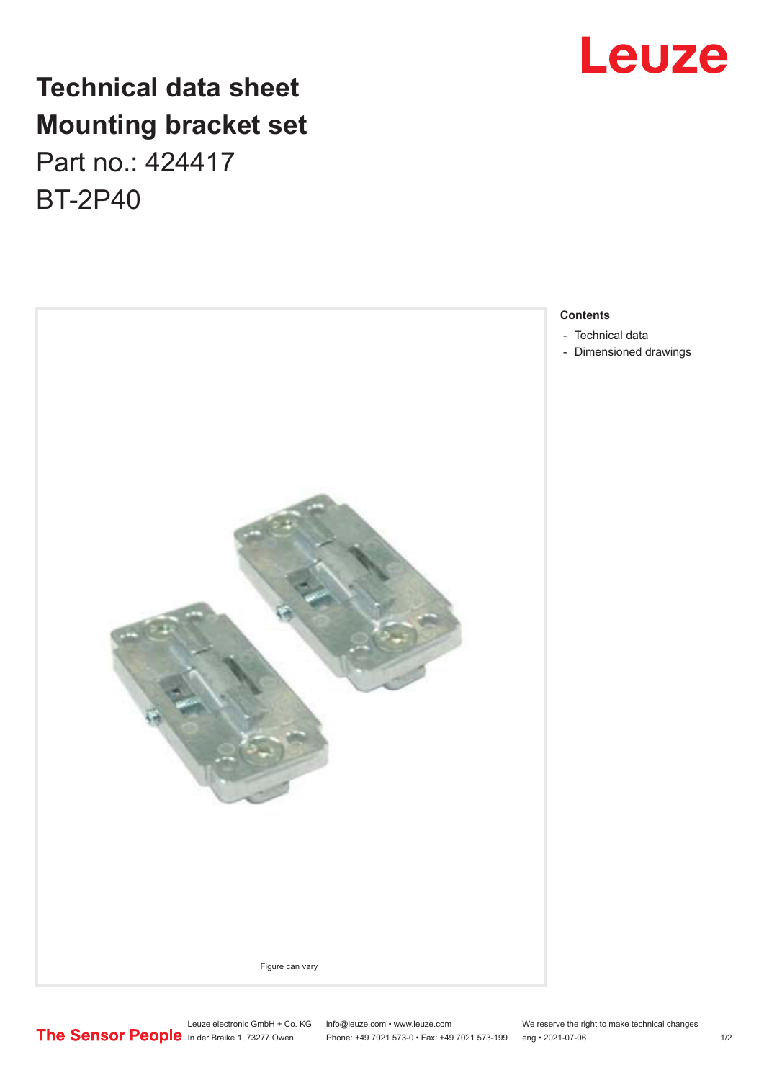

## **Technical data sheet Mounting bracket set** Part no.: 424417

BT-2P40



### **Contents**

- [Technical data](#page-1-0)
- [Dimensioned drawings](#page-1-0)

Leuze electronic GmbH + Co. KG info@leuze.com • www.leuze.com We reserve the right to make technical changes In der Braike 1, 73277 Owen Phone: +49 7021 573-0 • Fax: +49 7021 573-199 eng • 2021-07-06 1 /2